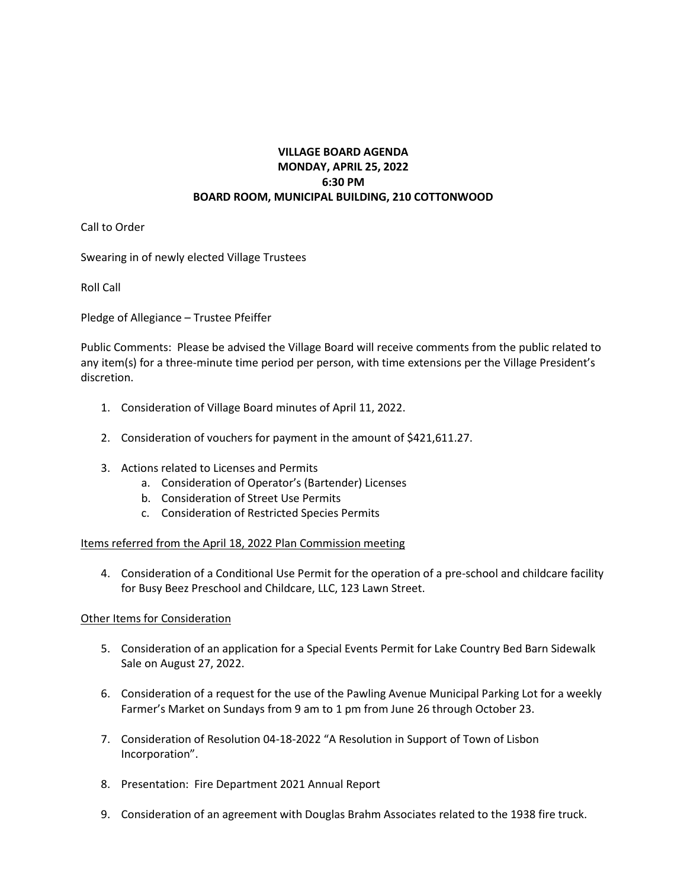## **VILLAGE BOARD AGENDA MONDAY, APRIL 25, 2022 6:30 PM BOARD ROOM, MUNICIPAL BUILDING, 210 COTTONWOOD**

Call to Order

Swearing in of newly elected Village Trustees

Roll Call

Pledge of Allegiance – Trustee Pfeiffer

Public Comments: Please be advised the Village Board will receive comments from the public related to any item(s) for a three-minute time period per person, with time extensions per the Village President's discretion.

- 1. Consideration of Village Board minutes of April 11, 2022.
- 2. Consideration of vouchers for payment in the amount of \$421,611.27.
- 3. Actions related to Licenses and Permits
	- a. Consideration of Operator's (Bartender) Licenses
	- b. Consideration of Street Use Permits
	- c. Consideration of Restricted Species Permits

Items referred from the April 18, 2022 Plan Commission meeting

4. Consideration of a Conditional Use Permit for the operation of a pre-school and childcare facility for Busy Beez Preschool and Childcare, LLC, 123 Lawn Street.

## Other Items for Consideration

- 5. Consideration of an application for a Special Events Permit for Lake Country Bed Barn Sidewalk Sale on August 27, 2022.
- 6. Consideration of a request for the use of the Pawling Avenue Municipal Parking Lot for a weekly Farmer's Market on Sundays from 9 am to 1 pm from June 26 through October 23.
- 7. Consideration of Resolution 04-18-2022 "A Resolution in Support of Town of Lisbon Incorporation".
- 8. Presentation: Fire Department 2021 Annual Report
- 9. Consideration of an agreement with Douglas Brahm Associates related to the 1938 fire truck.